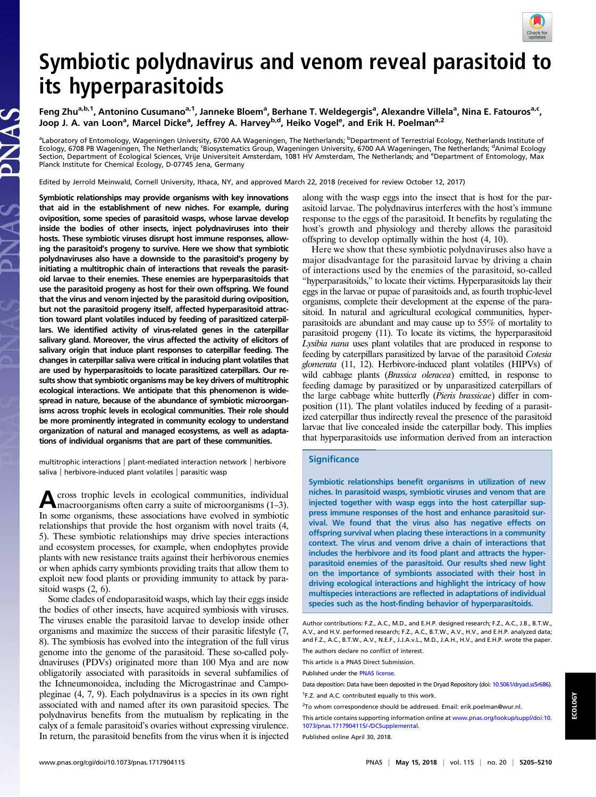

# Symbiotic polydnavirus and venom reveal parasitoid to its hyperparasitoids

Feng Zhu<sup>a,b,1</sup>, Antonino Cusumano<sup>a,1</sup>, Janneke Bloem<sup>a</sup>, Berhane T. Weldegergis<sup>a</sup>, Alexandre Villela<sup>a</sup>, Nina E. Fatouros<sup>a,c</sup>, Joop J. A. van Loon<sup>a</sup>, Marcel Dicke<sup>a</sup>, Jeffrey A. Harvey<sup>b,d</sup>, Heiko Vogel<sup>e</sup>, and Erik H. Poelman<sup>a,2</sup>

<sup>a</sup>Laboratory of Entomology, Wageningen University, 6700 AA Wageningen, The Netherlands; <sup>b</sup>Department of Terrestrial Ecology, Netherlands Institute of Ecology, 6708 PB Wageningen, The Netherlands; 'Biosystematics Group, Wageningen University, 6700 AA Wageningen, The Netherlands; <sup>d</sup>Animal Ecology Section, Department of Ecological Sciences, Vrije Universiteit Amsterdam, 1081 HV Amsterdam, The Netherlands; and <sup>e</sup>Department of Entomology, Max Planck Institute for Chemical Ecology, D-07745 Jena, Germany

Edited by Jerrold Meinwald, Cornell University, Ithaca, NY, and approved March 22, 2018 (received for review October 12, 2017)

Symbiotic relationships may provide organisms with key innovations that aid in the establishment of new niches. For example, during oviposition, some species of parasitoid wasps, whose larvae develop inside the bodies of other insects, inject polydnaviruses into their hosts. These symbiotic viruses disrupt host immune responses, allowing the parasitoid's progeny to survive. Here we show that symbiotic polydnaviruses also have a downside to the parasitoid's progeny by initiating a multitrophic chain of interactions that reveals the parasitoid larvae to their enemies. These enemies are hyperparasitoids that use the parasitoid progeny as host for their own offspring. We found that the virus and venom injected by the parasitoid during oviposition, but not the parasitoid progeny itself, affected hyperparasitoid attraction toward plant volatiles induced by feeding of parasitized caterpillars. We identified activity of virus-related genes in the caterpillar salivary gland. Moreover, the virus affected the activity of elicitors of salivary origin that induce plant responses to caterpillar feeding. The changes in caterpillar saliva were critical in inducing plant volatiles that are used by hyperparasitoids to locate parasitized caterpillars. Our results show that symbiotic organisms may be key drivers of multitrophic ecological interactions. We anticipate that this phenomenon is widespread in nature, because of the abundance of symbiotic microorganisms across trophic levels in ecological communities. Their role should be more prominently integrated in community ecology to understand organization of natural and managed ecosystems, as well as adaptations of individual organisms that are part of these communities.

multitrophic interactions | plant-mediated interaction network | herbivore saliva | herbivore-induced plant volatiles | parasitic wasp

Across trophic levels in ecological communities, individual macroorganisms often carry a suite of microorganisms (1–3). In some organisms, these associations have evolved in symbiotic relationships that provide the host organism with novel traits (4, 5). These symbiotic relationships may drive species interactions and ecosystem processes, for example, when endophytes provide plants with new resistance traits against their herbivorous enemies or when aphids carry symbionts providing traits that allow them to exploit new food plants or providing immunity to attack by parasitoid wasps (2, 6).

Some clades of endoparasitoid wasps, which lay their eggs inside the bodies of other insects, have acquired symbiosis with viruses. The viruses enable the parasitoid larvae to develop inside other organisms and maximize the success of their parasitic lifestyle (7, 8). The symbiosis has evolved into the integration of the full virus genome into the genome of the parasitoid. These so-called polydnaviruses (PDVs) originated more than 100 Mya and are now obligatorily associated with parasitoids in several subfamilies of the Ichneumonoidea, including the Microgastrinae and Campopleginae (4, 7, 9). Each polydnavirus is a species in its own right associated with and named after its own parasitoid species. The polydnavirus benefits from the mutualism by replicating in the calyx of a female parasitoid's ovaries without expressing virulence. In return, the parasitoid benefits from the virus when it is injected along with the wasp eggs into the insect that is host for the parasitoid larvae. The polydnavirus interferes with the host's immune response to the eggs of the parasitoid. It benefits by regulating the host's growth and physiology and thereby allows the parasitoid offspring to develop optimally within the host (4, 10).

Here we show that these symbiotic polydnaviruses also have a major disadvantage for the parasitoid larvae by driving a chain of interactions used by the enemies of the parasitoid, so-called "hyperparasitoids," to locate their victims. Hyperparasitoids lay their eggs in the larvae or pupae of parasitoids and, as fourth trophic-level organisms, complete their development at the expense of the parasitoid. In natural and agricultural ecological communities, hyperparasitoids are abundant and may cause up to 55% of mortality to parasitoid progeny (11). To locate its victims, the hyperparasitoid Lysibia nana uses plant volatiles that are produced in response to feeding by caterpillars parasitized by larvae of the parasitoid Cotesia glomerata (11, 12). Herbivore-induced plant volatiles (HIPVs) of wild cabbage plants (Brassica oleracea) emitted, in response to feeding damage by parasitized or by unparasitized caterpillars of the large cabbage white butterfly (Pieris brassicae) differ in composition (11). The plant volatiles induced by feeding of a parasitized caterpillar thus indirectly reveal the presence of the parasitoid larvae that live concealed inside the caterpillar body. This implies that hyperparasitoids use information derived from an interaction

## **Significance**

Symbiotic relationships benefit organisms in utilization of new niches. In parasitoid wasps, symbiotic viruses and venom that are injected together with wasp eggs into the host caterpillar suppress immune responses of the host and enhance parasitoid survival. We found that the virus also has negative effects on offspring survival when placing these interactions in a community context. The virus and venom drive a chain of interactions that includes the herbivore and its food plant and attracts the hyperparasitoid enemies of the parasitoid. Our results shed new light on the importance of symbionts associated with their host in driving ecological interactions and highlight the intricacy of how multispecies interactions are reflected in adaptations of individual species such as the host-finding behavior of hyperparasitoids.

Author contributions: F.Z., A.C., M.D., and E.H.P. designed research; F.Z., A.C., J.B., B.T.W., A.V., and H.V. performed research; F.Z., A.C., B.T.W., A.V., H.V., and E.H.P. analyzed data; and F.Z., A.C., B.T.W., A.V., N.E.F., J.J.A.v.L., M.D., J.A.H., H.V., and E.H.P. wrote the paper.

The authors declare no conflict of interest.

This article is a PNAS Direct Submission.

Published under the [PNAS license.](http://www.pnas.org/site/aboutpnas/licenses.xhtml)

Data deposition: Data have been deposited in the Dryad Repository (doi: [10.5061/dryad.ss5r686\)](http://datadryad.org/resource/doi:10.5061/dryad.ss5r686). <sup>1</sup>F.Z. and A.C. contributed equally to this work.

<sup>2</sup>To whom correspondence should be addressed. Email: [erik.poelman@wur.nl](mailto:erik.poelman@wur.nl).

This article contains supporting information online at [www.pnas.org/lookup/suppl/doi:10.](http://www.pnas.org/lookup/suppl/doi:10.1073/pnas.1717904115/-/DCSupplemental) [1073/pnas.1717904115/-/DCSupplemental](http://www.pnas.org/lookup/suppl/doi:10.1073/pnas.1717904115/-/DCSupplemental).

Published online April 30, 2018.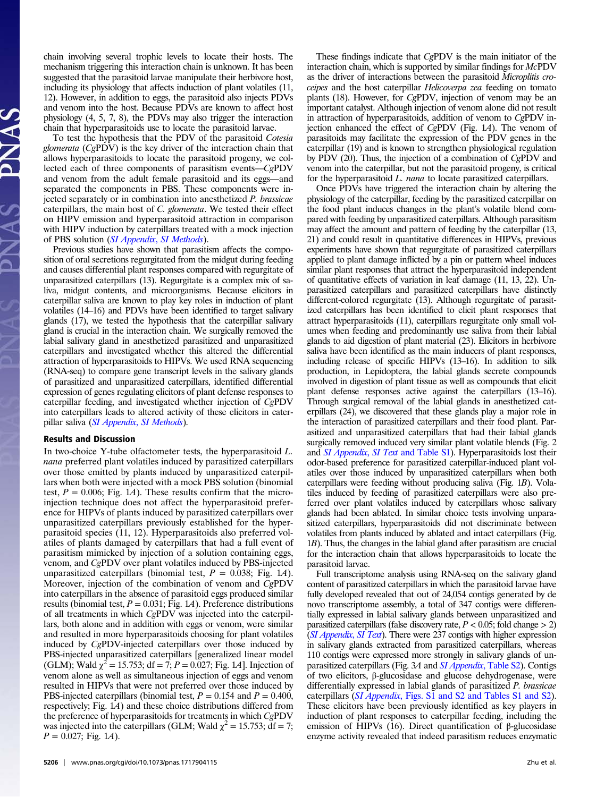chain involving several trophic levels to locate their hosts. The mechanism triggering this interaction chain is unknown. It has been suggested that the parasitoid larvae manipulate their herbivore host, including its physiology that affects induction of plant volatiles (11, 12). However, in addition to eggs, the parasitoid also injects PDVs and venom into the host. Because PDVs are known to affect host physiology (4, 5, 7, 8), the PDVs may also trigger the interaction chain that hyperparasitoids use to locate the parasitoid larvae.

To test the hypothesis that the PDV of the parasitoid Cotesia glomerata (CgPDV) is the key driver of the interaction chain that allows hyperparasitoids to locate the parasitoid progeny, we collected each of three components of parasitism events—CgPDV and venom from the adult female parasitoid and its eggs—and separated the components in PBS. These components were injected separately or in combination into anesthetized P. brassicae caterpillars, the main host of C. glomerata. We tested their effect on HIPV emission and hyperparasitoid attraction in comparison with HIPV induction by caterpillars treated with a mock injection of PBS solution ([SI Appendix](http://www.pnas.org/lookup/suppl/doi:10.1073/pnas.1717904115/-/DCSupplemental), SI Methods).

Previous studies have shown that parasitism affects the composition of oral secretions regurgitated from the midgut during feeding and causes differential plant responses compared with regurgitate of unparasitized caterpillars (13). Regurgitate is a complex mix of saliva, midgut contents, and microorganisms. Because elicitors in caterpillar saliva are known to play key roles in induction of plant volatiles (14–16) and PDVs have been identified to target salivary glands (17), we tested the hypothesis that the caterpillar salivary gland is crucial in the interaction chain. We surgically removed the labial salivary gland in anesthetized parasitized and unparasitized caterpillars and investigated whether this altered the differential attraction of hyperparasitoids to HIPVs. We used RNA sequencing (RNA-seq) to compare gene transcript levels in the salivary glands of parasitized and unparasitized caterpillars, identified differential expression of genes regulating elicitors of plant defense responses to caterpillar feeding, and investigated whether injection of CgPDV into caterpillars leads to altered activity of these elicitors in cater-pillar saliva ([SI Appendix](http://www.pnas.org/lookup/suppl/doi:10.1073/pnas.1717904115/-/DCSupplemental), SI Methods).

## Results and Discussion

In two-choice Y-tube olfactometer tests, the hyperparasitoid L. nana preferred plant volatiles induced by parasitized caterpillars over those emitted by plants induced by unparasitized caterpillars when both were injected with a mock PBS solution (binomial test,  $P = 0.006$ ; Fig. 1*A*). These results confirm that the microinjection technique does not affect the hyperparasitoid preference for HIPVs of plants induced by parasitized caterpillars over unparasitized caterpillars previously established for the hyperparasitoid species (11, 12). Hyperparasitoids also preferred volatiles of plants damaged by caterpillars that had a full event of parasitism mimicked by injection of a solution containing eggs, venom, and CgPDV over plant volatiles induced by PBS-injected unparasitized caterpillars (binomial test,  $P = 0.038$ ; Fig. 1A). Moreover, injection of the combination of venom and CgPDV into caterpillars in the absence of parasitoid eggs produced similar results (binomial test,  $P = 0.031$ ; Fig. 1A). Preference distributions of all treatments in which CgPDV was injected into the caterpillars, both alone and in addition with eggs or venom, were similar and resulted in more hyperparasitoids choosing for plant volatiles induced by CgPDV-injected caterpillars over those induced by PBS-injected unparasitized caterpillars [generalized linear model (GLM); Wald  $\chi^2 = 15.753$ ; df = 7; P = 0.027; Fig. 1A]. Injection of venom alone as well as simultaneous injection of eggs and venom resulted in HIPVs that were not preferred over those induced by PBS-injected caterpillars (binomial test,  $P = 0.154$  and  $P = 0.400$ , respectively; Fig. 1A) and these choice distributions differed from the preference of hyperparasitoids for treatments in which CgPDV was injected into the caterpillars (GLM; Wald  $\chi^2 = 15.753$ ; df = 7;  $P = 0.027$ ; Fig. 1A).

These findings indicate that CgPDV is the main initiator of the interaction chain, which is supported by similar findings for McPDV as the driver of interactions between the parasitoid Microplitis croceipes and the host caterpillar Helicoverpa zea feeding on tomato plants (18). However, for CgPDV, injection of venom may be an important catalyst. Although injection of venom alone did not result in attraction of hyperparasitoids, addition of venom to CgPDV injection enhanced the effect of CgPDV (Fig. 1A). The venom of parasitoids may facilitate the expression of the PDV genes in the caterpillar (19) and is known to strengthen physiological regulation by PDV (20). Thus, the injection of a combination of CgPDV and venom into the caterpillar, but not the parasitoid progeny, is critical for the hyperparasitoid L. nana to locate parasitized caterpillars.

Once PDVs have triggered the interaction chain by altering the physiology of the caterpillar, feeding by the parasitized caterpillar on the food plant induces changes in the plant's volatile blend compared with feeding by unparasitized caterpillars. Although parasitism may affect the amount and pattern of feeding by the caterpillar (13, 21) and could result in quantitative differences in HIPVs, previous experiments have shown that regurgitate of parasitized caterpillars applied to plant damage inflicted by a pin or pattern wheel induces similar plant responses that attract the hyperparasitoid independent of quantitative effects of variation in leaf damage (11, 13, 22). Unparasitized caterpillars and parasitized caterpillars have distinctly different-colored regurgitate (13). Although regurgitate of parasitized caterpillars has been identified to elicit plant responses that attract hyperparasitoids (11), caterpillars regurgitate only small volumes when feeding and predominantly use saliva from their labial glands to aid digestion of plant material (23). Elicitors in herbivore saliva have been identified as the main inducers of plant responses, including release of specific HIPVs (13–16). In addition to silk production, in Lepidoptera, the labial glands secrete compounds involved in digestion of plant tissue as well as compounds that elicit plant defense responses active against the caterpillars (13–16). Through surgical removal of the labial glands in anesthetized caterpillars (24), we discovered that these glands play a major role in the interaction of parasitized caterpillars and their food plant. Parasitized and unparasitized caterpillars that had their labial glands surgically removed induced very similar plant volatile blends (Fig. 2 and SI Appendix, SI Text [and Table S1](http://www.pnas.org/lookup/suppl/doi:10.1073/pnas.1717904115/-/DCSupplemental)). Hyperparasitoids lost their odor-based preference for parasitized caterpillar-induced plant volatiles over those induced by unparasitized caterpillars when both caterpillars were feeding without producing saliva (Fig. 1B). Volatiles induced by feeding of parasitized caterpillars were also preferred over plant volatiles induced by caterpillars whose salivary glands had been ablated. In similar choice tests involving unparasitized caterpillars, hyperparasitoids did not discriminate between volatiles from plants induced by ablated and intact caterpillars (Fig. 1B). Thus, the changes in the labial gland after parasitism are crucial for the interaction chain that allows hyperparasitoids to locate the parasitoid larvae.

Full transcriptome analysis using RNA-seq on the salivary gland content of parasitized caterpillars in which the parasitoid larvae have fully developed revealed that out of 24,054 contigs generated by de novo transcriptome assembly, a total of 347 contigs were differentially expressed in labial salivary glands between unparasitized and parasitized caterpillars (false discovery rate,  $P < 0.05$ ; fold change  $> 2$ ) ([SI Appendix](http://www.pnas.org/lookup/suppl/doi:10.1073/pnas.1717904115/-/DCSupplemental), SI Text). There were 237 contigs with higher expression in salivary glands extracted from parasitized caterpillars, whereas 110 contigs were expressed more strongly in salivary glands of un-parasitized caterpillars (Fig. 3A and [SI Appendix](http://www.pnas.org/lookup/suppl/doi:10.1073/pnas.1717904115/-/DCSupplemental), Table S2). Contigs of two elicitors, β-glucosidase and glucose dehydrogenase, were differentially expressed in labial glands of parasitized P. brassicae caterpillars (SI Appendix[, Figs. S1 and S2 and Tables S1 and S2\)](http://www.pnas.org/lookup/suppl/doi:10.1073/pnas.1717904115/-/DCSupplemental). These elicitors have been previously identified as key players in induction of plant responses to caterpillar feeding, including the emission of HIPVs (16). Direct quantification of β-glucosidase enzyme activity revealed that indeed parasitism reduces enzymatic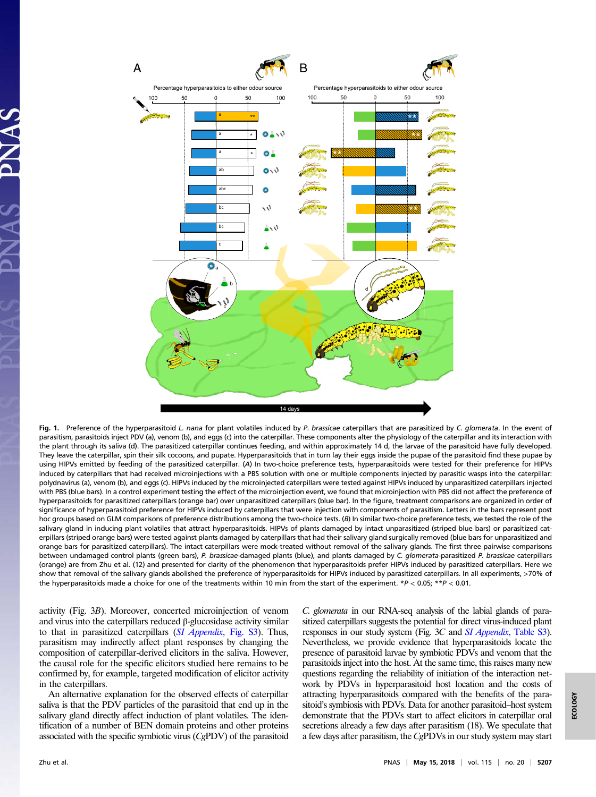

Fig. 1. Preference of the hyperparasitoid L. nana for plant volatiles induced by P. brassicae caterpillars that are parasitized by C. glomerata. In the event of parasitism, parasitoids inject PDV (a), venom (b), and eggs (c) into the caterpillar. These components alter the physiology of the caterpillar and its interaction with the plant through its saliva (d). The parasitized caterpillar continues feeding, and within approximately 14 d, the larvae of the parasitoid have fully developed. They leave the caterpillar, spin their silk cocoons, and pupate. Hyperparasitoids that in turn lay their eggs inside the pupae of the parasitoid find these pupae by using HIPVs emitted by feeding of the parasitized caterpillar. (A) In two-choice preference tests, hyperparasitoids were tested for their preference for HIPVs induced by caterpillars that had received microinjections with a PBS solution with one or multiple components injected by parasitic wasps into the caterpillar: polydnavirus (a), venom (b), and eggs (c). HIPVs induced by the microinjected caterpillars were tested against HIPVs induced by unparasitized caterpillars injected with PBS (blue bars). In a control experiment testing the effect of the microinjection event, we found that microinjection with PBS did not affect the preference of hyperparasitoids for parasitized caterpillars (orange bar) over unparasitized caterpillars (blue bar). In the figure, treatment comparisons are organized in order of significance of hyperparasitoid preference for HIPVs induced by caterpillars that were injection with components of parasitism. Letters in the bars represent post hoc groups based on GLM comparisons of preference distributions among the two-choice tests. (B) In similar two-choice preference tests, we tested the role of the salivary gland in inducing plant volatiles that attract hyperparasitoids. HIPVs of plants damaged by intact unparasitized (striped blue bars) or parasitized caterpillars (striped orange bars) were tested against plants damaged by caterpillars that had their salivary gland surgically removed (blue bars for unparasitized and orange bars for parasitized caterpillars). The intact caterpillars were mock-treated without removal of the salivary glands. The first three pairwise comparisons between undamaged control plants (green bars), P. brassicae-damaged plants (blue), and plants damaged by C. glomerata-parasitized P. brassicae caterpillars (orange) are from Zhu et al. (12) and presented for clarity of the phenomenon that hyperparasitoids prefer HIPVs induced by parasitized caterpillars. Here we show that removal of the salivary glands abolished the preference of hyperparasitoids for HIPVs induced by parasitized caterpillars. In all experiments, >70% of the hyperparasitoids made a choice for one of the treatments within 10 min from the start of the experiment. \*P < 0.05; \*\*P < 0.01.

activity (Fig. 3B). Moreover, concerted microinjection of venom and virus into the caterpillars reduced β-glucosidase activity similar to that in parasitized caterpillars ([SI Appendix](http://www.pnas.org/lookup/suppl/doi:10.1073/pnas.1717904115/-/DCSupplemental), Fig. S3). Thus, parasitism may indirectly affect plant responses by changing the composition of caterpillar-derived elicitors in the saliva. However, the causal role for the specific elicitors studied here remains to be confirmed by, for example, targeted modification of elicitor activity in the caterpillars.

An alternative explanation for the observed effects of caterpillar saliva is that the PDV particles of the parasitoid that end up in the salivary gland directly affect induction of plant volatiles. The identification of a number of BEN domain proteins and other proteins associated with the specific symbiotic virus (CgPDV) of the parasitoid

C. glomerata in our RNA-seq analysis of the labial glands of parasitized caterpillars suggests the potential for direct virus-induced plant responses in our study system (Fig. 3C and [SI Appendix](http://www.pnas.org/lookup/suppl/doi:10.1073/pnas.1717904115/-/DCSupplemental), Table S3). Nevertheless, we provide evidence that hyperparasitoids locate the presence of parasitoid larvae by symbiotic PDVs and venom that the parasitoids inject into the host. At the same time, this raises many new questions regarding the reliability of initiation of the interaction network by PDVs in hyperparasitoid host location and the costs of attracting hyperparasitoids compared with the benefits of the parasitoid's symbiosis with PDVs. Data for another parasitoid–host system demonstrate that the PDVs start to affect elicitors in caterpillar oral secretions already a few days after parasitism (18). We speculate that a few days after parasitism, the CgPDVs in our study system may start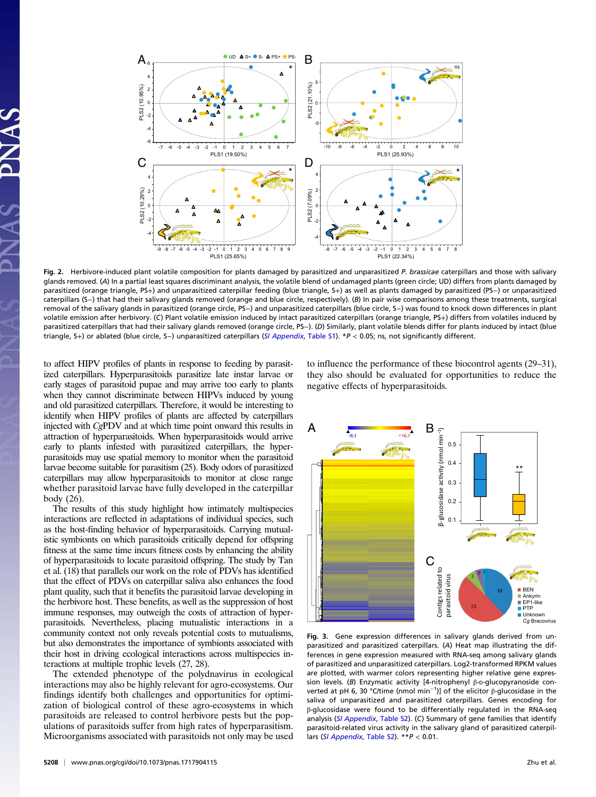

Fig. 2. Herbivore-induced plant volatile composition for plants damaged by parasitized and unparasitized P. brassicae caterpillars and those with salivary glands removed. (A) In a partial least squares discriminant analysis, the volatile blend of undamaged plants (green circle; UD) differs from plants damaged by parasitized (orange triangle, PS+) and unparasitized caterpillar feeding (blue triangle, S+) as well as plants damaged by parasitized (PS−) or unparasitized caterpillars (S−) that had their salivary glands removed (orange and blue circle, respectively). (B) In pair wise comparisons among these treatments, surgical removal of the salivary glands in parasitized (orange circle, PS−) and unparasitized caterpillars (blue circle, S−) was found to knock down differences in plant volatile emission after herbivory. (C) Plant volatile emission induced by intact parasitized caterpillars (orange triangle, PS+) differs from volatiles induced by parasitized caterpillars that had their salivary glands removed (orange circle, PS−). (D) Similarly, plant volatile blends differ for plants induced by intact (blue triangle, S+) or ablated (blue circle, S-) unparasitized caterpillars ([SI Appendix](http://www.pnas.org/lookup/suppl/doi:10.1073/pnas.1717904115/-/DCSupplemental), Table S1). \*P < 0.05; ns, not significantly different.

to affect HIPV profiles of plants in response to feeding by parasitized caterpillars. Hyperparasitoids parasitize late instar larvae or early stages of parasitoid pupae and may arrive too early to plants when they cannot discriminate between HIPVs induced by young and old parasitized caterpillars. Therefore, it would be interesting to identify when HIPV profiles of plants are affected by caterpillars injected with CgPDV and at which time point onward this results in attraction of hyperparasitoids. When hyperparasitoids would arrive early to plants infested with parasitized caterpillars, the hyperparasitoids may use spatial memory to monitor when the parasitoid larvae become suitable for parasitism (25). Body odors of parasitized caterpillars may allow hyperparasitoids to monitor at close range whether parasitoid larvae have fully developed in the caterpillar body (26).

The results of this study highlight how intimately multispecies interactions are reflected in adaptations of individual species, such as the host-finding behavior of hyperparasitoids. Carrying mutualistic symbionts on which parasitoids critically depend for offspring fitness at the same time incurs fitness costs by enhancing the ability of hyperparasitoids to locate parasitoid offspring. The study by Tan et al. (18) that parallels our work on the role of PDVs has identified that the effect of PDVs on caterpillar saliva also enhances the food plant quality, such that it benefits the parasitoid larvae developing in the herbivore host. These benefits, as well as the suppression of host immune responses, may outweigh the costs of attraction of hyperparasitoids. Nevertheless, placing mutualistic interactions in a community context not only reveals potential costs to mutualisms, but also demonstrates the importance of symbionts associated with their host in driving ecological interactions across multispecies interactions at multiple trophic levels (27, 28).

The extended phenotype of the polydnavirus in ecological interactions may also be highly relevant for agro-ecosystems. Our findings identify both challenges and opportunities for optimization of biological control of these agro-ecosystems in which parasitoids are released to control herbivore pests but the populations of parasitoids suffer from high rates of hyperparasitism. Microorganisms associated with parasitoids not only may be used to influence the performance of these biocontrol agents (29–31), they also should be evaluated for opportunities to reduce the negative effects of hyperparasitoids.



Fig. 3. Gene expression differences in salivary glands derived from unparasitized and parasitized caterpillars. (A) Heat map illustrating the differences in gene expression measured with RNA-seq among salivary glands of parasitized and unparasitized caterpillars. Log2-transformed RPKM values are plotted, with warmer colors representing higher relative gene expression levels. (B) Enzymatic activity [4-nitrophenyl β-D-glucopyranoside converted at pH 6, 30 °C/time (nmol min<sup>-1</sup>)] of the elicitor  $\beta$ -glucosidase in the saliva of unparasitized and parasitized caterpillars. Genes encoding for β-glucosidase were found to be differentially regulated in the RNA-seq analysis ([SI Appendix](http://www.pnas.org/lookup/suppl/doi:10.1073/pnas.1717904115/-/DCSupplemental), Table S2). (C) Summary of gene families that identify parasitoid-related virus activity in the salivary gland of parasitized caterpil-lars ([SI Appendix](http://www.pnas.org/lookup/suppl/doi:10.1073/pnas.1717904115/-/DCSupplemental), Table S2).  $**P < 0.01$ .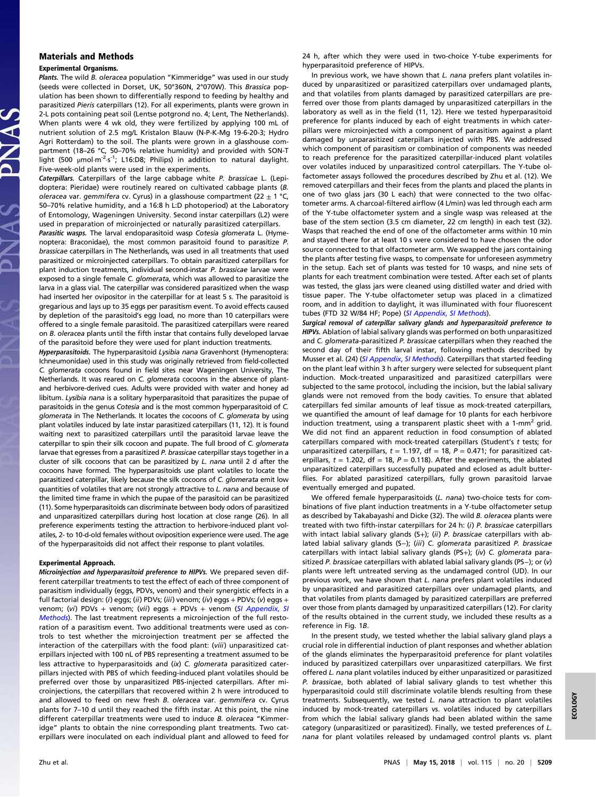## Materials and Methods

### Experimental Organisms.

Plants. The wild B. oleracea population "Kimmeridge" was used in our study (seeds were collected in Dorset, UK, 50°360N, 2°070W). This Brassica population has been shown to differentially respond to feeding by healthy and parasitized Pieris caterpillars (12). For all experiments, plants were grown in 2-L pots containing peat soil (Lentse potgrond no. 4; Lent, The Netherlands). When plants were 4 wk old, they were fertilized by applying 100 mL of nutrient solution of 2.5 mg/L Kristalon Blauw (N-P-K-Mg 19-6-20-3; Hydro Agri Rotterdam) to the soil. The plants were grown in a glasshouse compartment (18–26 °C, 50–70% relative humidity) and provided with SON-T light (500  $\mu$ mol·m<sup>-2</sup>·s<sup>-1</sup>; L16:D8; Philips) in addition to natural daylight. Five-week-old plants were used in the experiments.

Caterpillars. Caterpillars of the large cabbage white P. brassicae L. (Lepidoptera: Pieridae) were routinely reared on cultivated cabbage plants (B. oleracea var. gemmifera cv. Cyrus) in a glasshouse compartment (22  $\pm$  1 °C, 50–70% relative humidity, and a 16:8 h L:D photoperiod) at the Laboratory of Entomology, Wageningen University. Second instar caterpillars (L2) were used in preparation of microinjected or naturally parasitized caterpillars.

Parasitic wasps. The larval endoparasitoid wasp Cotesia glomerata L. (Hymenoptera: Braconidae), the most common parasitoid found to parasitize P. brassicae caterpillars in The Netherlands, was used in all treatments that used parasitized or microinjected caterpillars. To obtain parasitized caterpillars for plant induction treatments, individual second-instar P. brassicae larvae were exposed to a single female C. glomerata, which was allowed to parasitize the larva in a glass vial. The caterpillar was considered parasitized when the wasp had inserted her ovipositor in the caterpillar for at least 5 s. The parasitoid is gregarious and lays up to 35 eggs per parasitism event. To avoid effects caused by depletion of the parasitoid's egg load, no more than 10 caterpillars were offered to a single female parasitoid. The parasitized caterpillars were reared on B. oleracea plants until the fifth instar that contains fully developed larvae of the parasitoid before they were used for plant induction treatments.

Hyperparasitoids. The hyperparasitoid Lysibia nana Gravenhorst (Hymenoptera: Ichneumonidae) used in this study was originally retrieved from field-collected C. glomerata cocoons found in field sites near Wageningen University, The Netherlands. It was reared on C. glomerata cocoons in the absence of plantand herbivore-derived cues. Adults were provided with water and honey ad libitum. Lysibia nana is a solitary hyperparasitoid that parasitizes the pupae of parasitoids in the genus Cotesia and is the most common hyperparasitoid of C. glomerata in The Netherlands. It locates the cocoons of C. glomerata by using plant volatiles induced by late instar parasitized caterpillars (11, 12). It is found waiting next to parasitized caterpillars until the parasitoid larvae leave the caterpillar to spin their silk cocoon and pupate. The full brood of C. glomerata larvae that egresses from a parasitized P. brassicae caterpillar stays together in a cluster of silk cocoons that can be parasitized by L. nana until 2 d after the cocoons have formed. The hyperparasitoids use plant volatiles to locate the parasitized caterpillar, likely because the silk cocoons of C. glomerata emit low quantities of volatiles that are not strongly attractive to L. nana and because of the limited time frame in which the pupae of the parasitoid can be parasitized (11). Some hyperparasitoids can discriminate between body odors of parasitized and unparasitized caterpillars during host location at close range (26). In all preference experiments testing the attraction to herbivore-induced plant volatiles, 2- to 10-d-old females without oviposition experience were used. The age of the hyperparasitoids did not affect their response to plant volatiles.

#### Experimental Approach.

Microinjection and hyperparasitoid preference to HIPVs. We prepared seven different caterpillar treatments to test the effect of each of three component of parasitism individually (eggs, PDVs, venom) and their synergistic effects in a full factorial design: (i) eggs; (ii) PDVs; (iii) venom; (iv) eggs + PDVs; (v) eggs + venom; (vi) PDVs + venom; (vii) eggs + PDVs + venom ([SI Appendix](http://www.pnas.org/lookup/suppl/doi:10.1073/pnas.1717904115/-/DCSupplemental), SI [Methods](http://www.pnas.org/lookup/suppl/doi:10.1073/pnas.1717904115/-/DCSupplemental)). The last treatment represents a microinjection of the full restoration of a parasitism event. Two additional treatments were used as controls to test whether the microinjection treatment per se affected the interaction of the caterpillars with the food plant: (viii) unparasitized caterpillars injected with 100 nL of PBS representing a treatment assumed to be less attractive to hyperparasitoids and (ix) C. glomerata parasitized caterpillars injected with PBS of which feeding-induced plant volatiles should be preferred over those by unparasitized PBS-injected caterpillars. After microinjections, the caterpillars that recovered within 2 h were introduced to and allowed to feed on new fresh B. oleracea var. gemmifera cv. Cyrus plants for 7–10 d until they reached the fifth instar. At this point, the nine different caterpillar treatments were used to induce B. oleracea "Kimmeridge" plants to obtain the nine corresponding plant treatments. Two caterpillars were inoculated on each individual plant and allowed to feed for 24 h, after which they were used in two-choice Y-tube experiments for hyperparasitoid preference of HIPVs.

In previous work, we have shown that L. nana prefers plant volatiles induced by unparasitized or parasitized caterpillars over undamaged plants, and that volatiles from plants damaged by parasitized caterpillars are preferred over those from plants damaged by unparasitized caterpillars in the laboratory as well as in the field (11, 12). Here we tested hyperparasitoid preference for plants induced by each of eight treatments in which caterpillars were microinjected with a component of parasitism against a plant damaged by unparasitized caterpillars injected with PBS. We addressed which component of parasitism or combination of components was needed to reach preference for the parasitized caterpillar-induced plant volatiles over volatiles induced by unparasitized control caterpillars. The Y-tube olfactometer assays followed the procedures described by Zhu et al. (12). We removed caterpillars and their feces from the plants and placed the plants in one of two glass jars (30 L each) that were connected to the two olfactometer arms. A charcoal-filtered airflow (4 L/min) was led through each arm of the Y-tube olfactometer system and a single wasp was released at the base of the stem section (3.5 cm diameter, 22 cm length) in each test (32). Wasps that reached the end of one of the olfactometer arms within 10 min and stayed there for at least 10 s were considered to have chosen the odor source connected to that olfactometer arm. We swapped the jars containing the plants after testing five wasps, to compensate for unforeseen asymmetry in the setup. Each set of plants was tested for 10 wasps, and nine sets of plants for each treatment combination were tested. After each set of plants was tested, the glass jars were cleaned using distilled water and dried with tissue paper. The Y-tube olfactometer setup was placed in a climatized room, and in addition to daylight, it was illuminated with four fluorescent tubes (FTD 32 W/84 HF; Pope) ([SI Appendix](http://www.pnas.org/lookup/suppl/doi:10.1073/pnas.1717904115/-/DCSupplemental), SI Methods).

Surgical removal of caterpillar salivary glands and hyperparasitoid preference to HIPVs. Ablation of labial salivary glands was performed on both unparasitized and C. glomerata-parasitized P. brassicae caterpillars when they reached the second day of their fifth larval instar, following methods described by Musser et al. (24) ([SI Appendix](http://www.pnas.org/lookup/suppl/doi:10.1073/pnas.1717904115/-/DCSupplemental), SI Methods). Caterpillars that started feeding on the plant leaf within 3 h after surgery were selected for subsequent plant induction. Mock-treated unparasitized and parasitized caterpillars were subjected to the same protocol, including the incision, but the labial salivary glands were not removed from the body cavities. To ensure that ablated caterpillars fed similar amounts of leaf tissue as mock-treated caterpillars, we quantified the amount of leaf damage for 10 plants for each herbivore induction treatment, using a transparent plastic sheet with a 1-mm<sup>2</sup> grid. We did not find an apparent reduction in food consumption of ablated caterpillars compared with mock-treated caterpillars (Student's t tests; for unparasitized caterpillars,  $t = 1.197$ , df = 18,  $P = 0.471$ ; for parasitized caterpillars,  $t = 1.202$ , df = 18,  $P = 0.118$ ). After the experiments, the ablated unparasitized caterpillars successfully pupated and eclosed as adult butterflies. For ablated parasitized caterpillars, fully grown parasitoid larvae eventually emerged and pupated.

We offered female hyperparasitoids (L. nana) two-choice tests for combinations of five plant induction treatments in a Y-tube olfactometer setup as described by Takabayashi and Dicke (32). The wild B. oleracea plants were treated with two fifth-instar caterpillars for 24 h: (i) P. brassicae caterpillars with intact labial salivary glands  $(S+)$ ; (ii) P. brassicae caterpillars with ablated labial salivary glands (S−); (iii) C. glomerata parasitized P. brassicae caterpillars with intact labial salivary glands (PS+); (iv) C. glomerata parasitized P. brassicae caterpillars with ablated labial salivary glands (PS−); or (v) plants were left untreated serving as the undamaged control (UD). In our previous work, we have shown that L. nana prefers plant volatiles induced by unparasitized and parasitized caterpillars over undamaged plants, and that volatiles from plants damaged by parasitized caterpillars are preferred over those from plants damaged by unparasitized caterpillars (12). For clarity of the results obtained in the current study, we included these results as a reference in Fig. 1B.

In the present study, we tested whether the labial salivary gland plays a crucial role in differential induction of plant responses and whether ablation of the glands eliminates the hyperparasitoid preference for plant volatiles induced by parasitized caterpillars over unparasitized caterpillars. We first offered L. nana plant volatiles induced by either unparasitized or parasitized P. brassicae, both ablated of labial salivary glands to test whether this hyperparasitoid could still discriminate volatile blends resulting from these treatments. Subsequently, we tested L. nana attraction to plant volatiles induced by mock-treated caterpillars vs. volatiles induced by caterpillars from which the labial salivary glands had been ablated within the same category (unparasitized or parasitized). Finally, we tested preferences of L. nana for plant volatiles released by undamaged control plants vs. plant